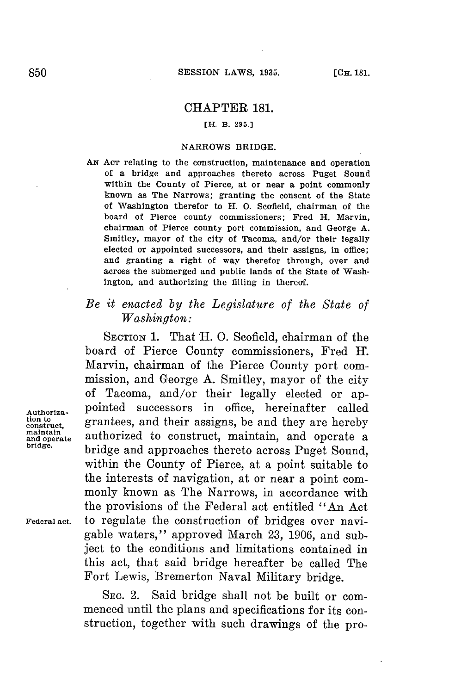## CHAPTER 181.

## **[H. B. 295.)**

#### **NARROWS BRIDGE.**

**AN AcT** relating to the construction, maintenance and operation of a bridge and approaches thereto across Puget Sound within the County of Pierce, at or near a point commonly known as The Narrows; granting the consent of the State of Washington therefor to H. **0.** Scofield, chairman of the board of Pierce county commissioners; Fred H. Marvin, chairman of Pierce county port commission, and George **A.** Smitley, mayor of the city of Tacoma, and/or their legally elected or appointed successors, and their assigns, in office; and granting a right of way therefor through, over and across the submerged and public lands of the State of Washington, and authorizing the filling in thereof.

# *Be it enacted by the Legislature of the State of Washington:*

SECTION **1.** That H. **0.** Scofield, chairman of the board of Pierce County commissioners, Fred I. Marvin, chairman of the Pierce County port commission, and George **A.** Smitley, mayor of the city of Tacoma, and/or their legally elected or ap-Authoriza-<br>tion to<br>**Authoriza- Printing and their against he and that are hangly** tion to grantees, and their assigns, be and they are hereby<br>
maintain surthorized to construct mointain and operate a maintain<br>and operate authorized to construct, maintain, and operate a<br>bridge. **bridge.** bridge and approaches thereto across Puget Sound, within the County of Pierce, at a point suitable to the interests of navigation, at or near a point commonly known as The Narrows, in accordance with the provisions of the Federal act entitled "An Act **Federal** act. to regulate the construction of bridges over navigable waters," approved March **23, 1906,** and subject to the conditions and limitations contained in this act, that said bridge hereafter be called The Fort Lewis, Bremerton Naval Military bridge.

> **SEC.** 2. Said bridge shall not be built or commenced until the plans and specifications **for** its construction, together with such drawings of the pro-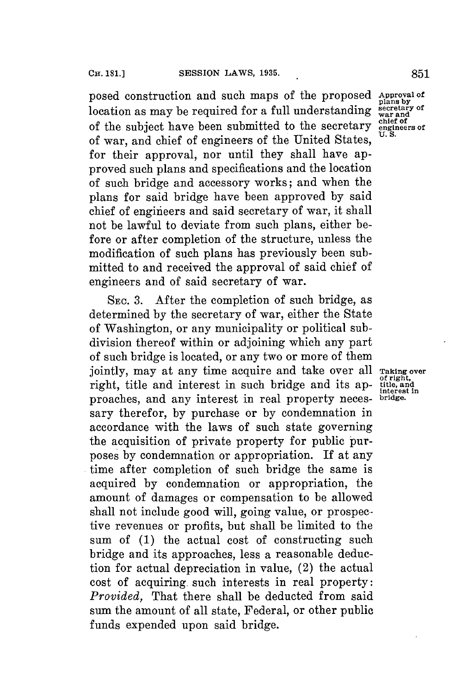posed construction and such maps of the proposed Approval of plans by location as may be required for a full understanding secretary of the subject have been submitted to the secretary engineers of of war, and chief of engineers of the United States. for their approval, nor until they shall have approved such plans and specifications and the location of such bridge and accessory works; and when the plans for said bridge have been approved **by** said chief of engiieers and said secretary of war, it shall not be lawful to deviate from such plans, either before or after completion of the structure, unless the modification of such plans has previously been submitted to and received the approval of said chief of engineers and of said secretary of war.

**SEC. 3.** After the completion of such bridge, as determined **by** the secretary of war, either the State of Washington, or any municipality or political subdivision thereof within or adjoining which any part of such bridge is located, or any two or more of them jointly, may at any time acquire and take over all **Taking over** right, title and interest in such bridge and its ap- **title**, and proaches, and any interest in real property necessary therefor, **by** purchase or **by** condemnation in accordance with the laws of such state governing the acquisition of private property for public purposes **by** condemnation or appropriation. If at any time after completion of such bridge the same is acquired **by** condemnation or appropriation, the amount of damages or compensation to be allowed shall not include good will, going value, or prospective revenues or profits, but shall be limited to the sum of **(1)** the actual cost of constructing such bridge and its approaches, less a reasonable deduction for actual depreciation in value, (2) the actual cost of acquiring. such interests in real property: *Provided,* That there shall be deducted from said sum the amount of all state, Federal, or other public funds expended upon said bridge.

of right,<br>title, and<br>interest in<br>bridge.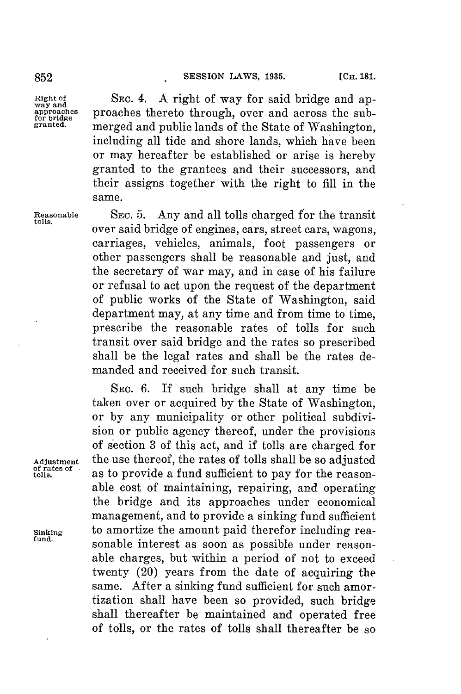**Right of SEC.** 4. **A** right of way for said bridge and ap- **way and** way and across the sub-<br>approaches **proaches** thereto through, over and across the sub-<br>**granted monged** and publis lands of the State of Weshington merged and public lands of the State of Washington, including all tide and shore lands, which have been or may hereafter be established or arise is hereby granted to the grantees and their successors, and their assigns together with the right to **fill** in the same.

**Reasonable** SEc. **5.** Any and all tolls charged for the transit **tolls.** over said bridge of engines, cars, street cars, wagons, carriages, vehicles, animals, foot passengers or other passengers shall be reasonable and just, and the secretary of war may, and in case of his failure or refusal to act upon the request of the department of public works of the State of Washington, said department may, at any time and from time to time, prescribe the reasonable rates of tolls for such transit over said bridge and the rates so prescribed shall be the legal rates and shall be the rates demanded and received for such transit.

SEC. **6.** If such bridge shall at any time be taken over or acquired **by** the State of Washington, or **by** any municipality or other political subdivision or public agency thereof, under the provisions of section **3** of this act, and if tolls are charged for Adjustment the use thereof, the rates of tolls shall be so adjusted<br>of rates of as to provide a fund sufficient to pay for the reasonas to provide a fund sufficient to pay for the reasonable cost of maintaining, repairing, and operating the bridge and its approaches under economical management, and to provide a sinking fund sufficient Sinking to amortize the amount paid therefor including reasonable interest as soon as possible under reasonable charges, but within a period of not to exceed twenty (20) years from the date of acquiring the same. **After** a sinking fund sufficient **for** such amortization shall have been so provided, such bridge shall thereafter be maintained and operated free of tolls, or the rates of tolls shall thereafter be so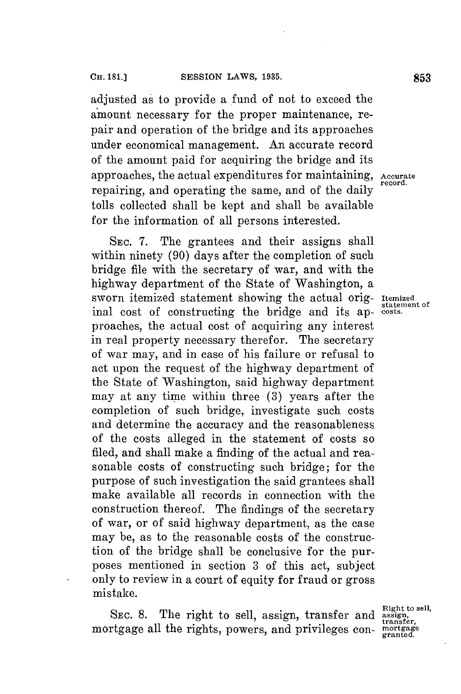adjusted as to provide a fund of not to exceed the amount necessary for the proper maintenance, repair and operation of the bridge and its approaches under economical management. An accurate record of the amount paid for acquiring the bridge and its approaches, the actual expenditures for maintaining, **Accurate** repairing, and operating the same, and of the daily tolls collected shall be kept and shall be available for the information of all persons interested.

SEc. **7.** The grantees and their assigns shall within ninety (90) days after the completion of such bridge file with the secretary of war, and with the highway department of the State of Washington, a sworn itemized statement showing the actual orig- **Itemized** inal cost of constructing the bridge and its approaches, the actual cost of acquiring any interest in real property necessary therefor. The secretary **of** war may, and in case of his failure or refusal to act upon the request of the highway department of the State of Washington, said highway department may at any time within three **(3)** years after the completion of such bridge, investigate such costs and determine the accuracy and the reasonableness of the costs alleged in the statement of costs so filed, and shall make a finding of the actual and reasonable costs of constructing such bridge; for the purpose of such investigation the said grantees shall make available all records in connection with the construction thereof. The findings of the secretary of war, or of said highway department, as the case may be, as to the reasonable costs of the construction of the bridge shall be conclusive for the purposes mentioned in section **3** of this act, subject only to review in a court of equity for fraud or gross mistake.

SEC. 8. The right to sell, assign, transfer and assign, transfer, mortgage all the rights, powers, and privileges con-

**record.**

statement of<br>costs.

**Right to sell,**